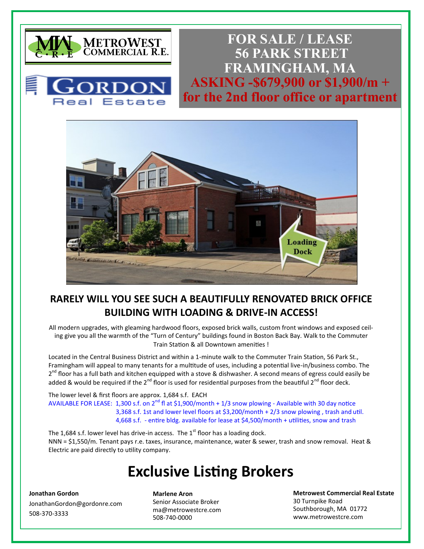



**FOR SALE / LEASE 56 PARK STREET FRAMINGHAM, MA ASKING -\$679,900 or \$1,900/m + for the 2nd floor office or apartment**



### **RARELY WILL YOU SEE SUCH A BEAUTIFULLY RENOVATED BRICK OFFICE BUILDING WITH LOADING & DRIVE-IN ACCESS!**

All modern upgrades, with gleaming hardwood floors, exposed brick walls, custom front windows and exposed ceiling give you all the warmth of the "Turn of Century" buildings found in Boston Back Bay. Walk to the Commuter Train Station & all Downtown amenities !

Located in the Central Business District and within a 1-minute walk to the Commuter Train Station, 56 Park St., Framingham will appeal to many tenants for a multitude of uses, including a potential live-in/business combo. The 2<sup>nd</sup> floor has a full bath and kitchen equipped with a stove & dishwasher. A second means of egress could easily be added & would be required if the  $2^{nd}$  floor is used for residential purposes from the beautiful  $2^{nd}$  floor deck.

The lower level & first floors are approx. 1,684 s.f. EACH AVAILABLE FOR LEASE: 1,300 s.f. on  $2^{nd}$  fl at \$1,900/month + 1/3 snow plowing - Available with 30 day notice 3,368 s.f. 1st and lower level floors at \$3,200/month + 2/3 snow plowing , trash and util. 4,668 s.f. - entire bldg. available for lease at \$4,500/month + utilities, snow and trash

The 1,684 s.f. lower level has drive-in access. The  $1<sup>st</sup>$  floor has a loading dock. NNN = \$1,550/m. Tenant pays r.e. taxes, insurance, maintenance, water & sewer, trash and snow removal. Heat & Electric are paid directly to utility company.

# **Exclusive Listing Brokers**

#### **Jonathan Gordon**

JonathanGordon@gordonre.com  $\overline{c}$ cherylametrowestc 508-370-3333

**Marlene Aron**

Senior Associate Broker ma@metrowestcre.com 508-740-0000

**Metrowest Commercial Real Estate** 30 Turnpike Road Southborough, MA 01772 www.metrowestcre.com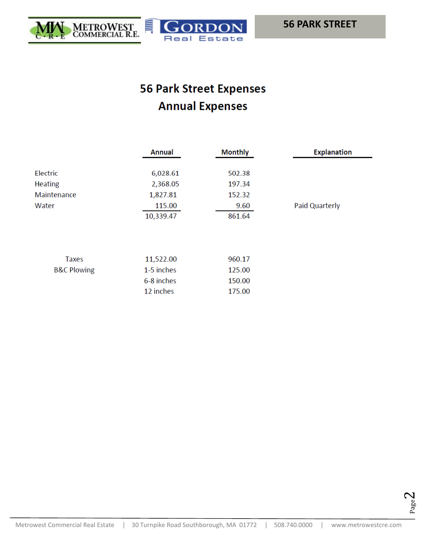

## **56 Park Street Expenses Annual Expenses**

|                        | <b>Annual</b> | <b>Monthly</b> | <b>Explanation</b> |
|------------------------|---------------|----------------|--------------------|
| Electric               | 6,028.61      | 502.38         |                    |
| <b>Heating</b>         | 2,368.05      | 197.34         |                    |
| Maintenance            | 1,827.81      | 152.32         |                    |
| Water                  | 115.00        | 9.60           | Paid Quarterly     |
|                        | 10,339.47     | 861.64         |                    |
|                        |               |                |                    |
|                        |               |                |                    |
| <b>Taxes</b>           | 11,522.00     | 960.17         |                    |
| <b>B&amp;C Plowing</b> | 1-5 inches    | 125.00         |                    |
|                        | 6-8 inches    | 150.00         |                    |
|                        | 12 inches     | 175.00         |                    |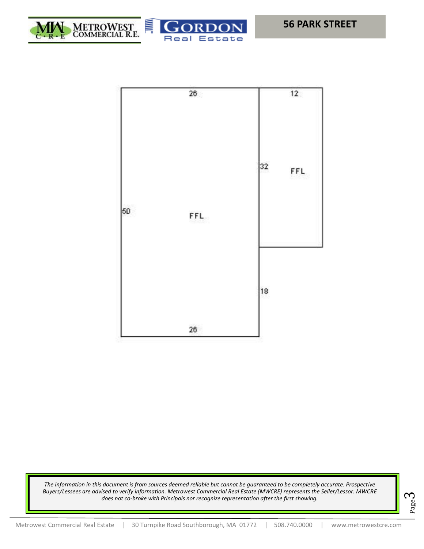



Estate

Real

*The information in this document is from sources deemed reliable but cannot be guaranteed to be completely accurate. Prospective Buyers/Lessees are advised to verify information. Metrowest Commercial Real Estate (MWCRE) represents the Seller/Lessor. MWCRE does not co-broke with Principals nor recognize representation after the first showing.*

$$
\Sigma_{\text{age}}\mathbf{3}
$$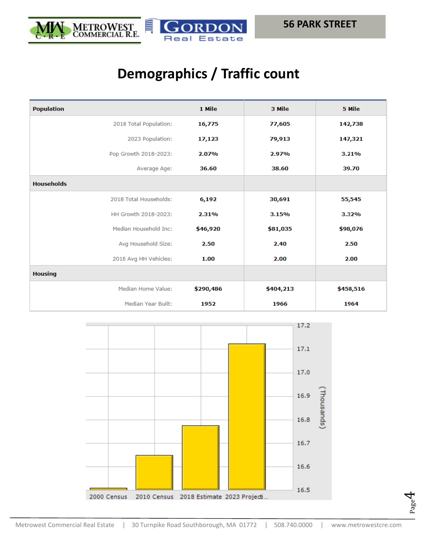



Page  $\overline{\mathcal{A}}$ 

# **Demographics / Traffic count**

| <b>Population</b>         | 1 Mile    | 3 Mile    | 5 Mile    |
|---------------------------|-----------|-----------|-----------|
| 2018 Total Population:    | 16,775    | 77,605    | 142,738   |
| 2023 Population:          | 17,123    | 79,913    | 147,321   |
| Pop Growth 2018-2023:     | 2.07%     | 2.97%     | 3.21%     |
| Average Age:              | 36.60     | 38.60     | 39.70     |
| <b>Households</b>         |           |           |           |
| 2018 Total Households:    | 6,192     | 30,691    | 55,545    |
| HH Growth 2018-2023:      | 2.31%     | 3.15%     | 3.32%     |
| Median Household Inc:     | \$46,920  | \$81,035  | \$98,076  |
| Avg Household Size:       | 2.50      | 2.40      | 2.50      |
| 2018 Avg HH Vehicles:     | 1.00      | 2.00      | 2.00      |
| <b>Housing</b>            |           |           |           |
| <b>Median Home Value:</b> | \$290,486 | \$404,213 | \$458,516 |
| <b>Median Year Built:</b> | 1952      | 1966      | 1964      |

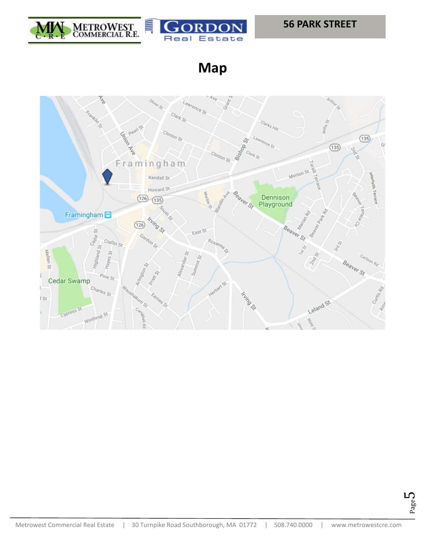



**Map**